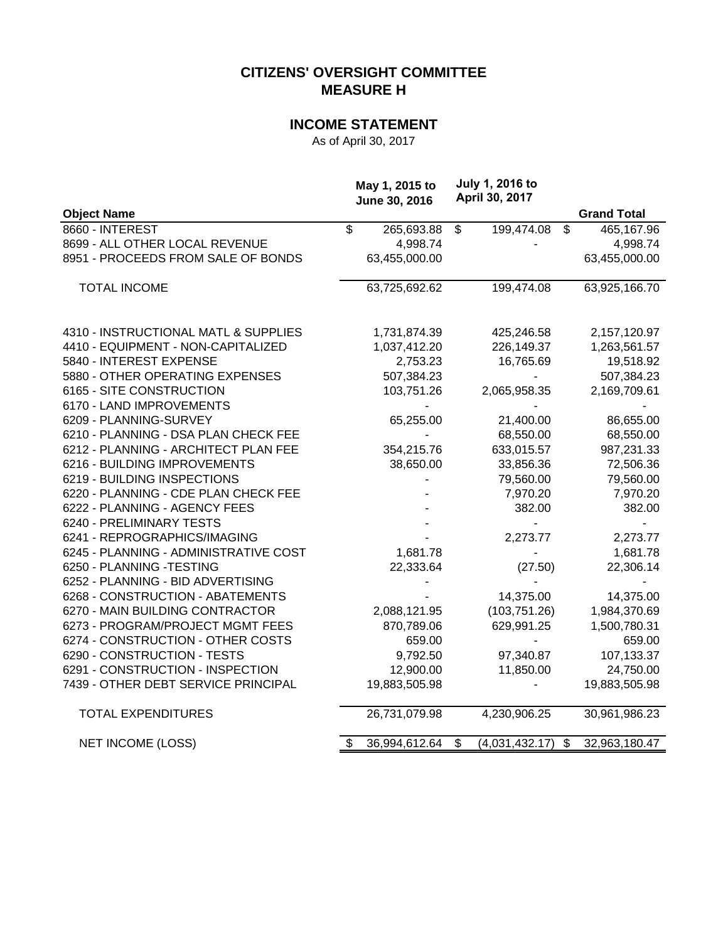# **CITIZENS' OVERSIGHT COMMITTEE MEASURE H**

## **INCOME STATEMENT**

As of April 30, 2017

|                                       |    | May 1, 2015 to<br>June 30, 2016 | <b>July 1, 2016 to</b><br>April 30, 2017 |                     |
|---------------------------------------|----|---------------------------------|------------------------------------------|---------------------|
| <b>Object Name</b>                    |    |                                 |                                          | <b>Grand Total</b>  |
| 8660 - INTEREST                       | \$ | 265,693.88                      | \$<br>199,474.08                         | \$<br>465,167.96    |
| 8699 - ALL OTHER LOCAL REVENUE        |    | 4,998.74                        |                                          | 4,998.74            |
| 8951 - PROCEEDS FROM SALE OF BONDS    |    | 63,455,000.00                   |                                          | 63,455,000.00       |
| <b>TOTAL INCOME</b>                   |    | 63,725,692.62                   | 199,474.08                               | 63,925,166.70       |
| 4310 - INSTRUCTIONAL MATL & SUPPLIES  |    | 1,731,874.39                    | 425,246.58                               | 2,157,120.97        |
| 4410 - EQUIPMENT - NON-CAPITALIZED    |    | 1,037,412.20                    | 226,149.37                               | 1,263,561.57        |
| 5840 - INTEREST EXPENSE               |    | 2,753.23                        | 16,765.69                                | 19,518.92           |
| 5880 - OTHER OPERATING EXPENSES       |    | 507,384.23                      |                                          | 507,384.23          |
| 6165 - SITE CONSTRUCTION              |    | 103,751.26                      | 2,065,958.35                             | 2,169,709.61        |
| 6170 - LAND IMPROVEMENTS              |    |                                 |                                          |                     |
| 6209 - PLANNING-SURVEY                |    | 65,255.00                       | 21,400.00                                | 86,655.00           |
| 6210 - PLANNING - DSA PLAN CHECK FEE  |    |                                 | 68,550.00                                | 68,550.00           |
| 6212 - PLANNING - ARCHITECT PLAN FEE  |    | 354,215.76                      | 633,015.57                               | 987,231.33          |
| 6216 - BUILDING IMPROVEMENTS          |    | 38,650.00                       | 33,856.36                                | 72,506.36           |
| 6219 - BUILDING INSPECTIONS           |    |                                 | 79,560.00                                | 79,560.00           |
| 6220 - PLANNING - CDE PLAN CHECK FEE  |    |                                 | 7,970.20                                 | 7,970.20            |
| 6222 - PLANNING - AGENCY FEES         |    |                                 | 382.00                                   | 382.00              |
| 6240 - PRELIMINARY TESTS              |    |                                 |                                          |                     |
| 6241 - REPROGRAPHICS/IMAGING          |    |                                 | 2,273.77                                 | 2,273.77            |
| 6245 - PLANNING - ADMINISTRATIVE COST |    | 1,681.78                        | -                                        | 1,681.78            |
| 6250 - PLANNING -TESTING              |    | 22,333.64                       | (27.50)                                  | 22,306.14           |
| 6252 - PLANNING - BID ADVERTISING     |    |                                 |                                          |                     |
| 6268 - CONSTRUCTION - ABATEMENTS      |    |                                 | 14,375.00                                | 14,375.00           |
| 6270 - MAIN BUILDING CONTRACTOR       |    | 2,088,121.95                    | (103, 751.26)                            | 1,984,370.69        |
| 6273 - PROGRAM/PROJECT MGMT FEES      |    | 870,789.06                      | 629,991.25                               | 1,500,780.31        |
| 6274 - CONSTRUCTION - OTHER COSTS     |    | 659.00                          |                                          | 659.00              |
| 6290 - CONSTRUCTION - TESTS           |    | 9,792.50                        | 97,340.87                                | 107,133.37          |
| 6291 - CONSTRUCTION - INSPECTION      |    | 12,900.00                       | 11,850.00                                | 24,750.00           |
| 7439 - OTHER DEBT SERVICE PRINCIPAL   |    | 19,883,505.98                   |                                          | 19,883,505.98       |
| <b>TOTAL EXPENDITURES</b>             |    | 26,731,079.98                   | 4,230,906.25                             | 30,961,986.23       |
| <b>NET INCOME (LOSS)</b>              | S  | 36,994,612.64                   | \$<br>(4,031,432.17)                     | \$<br>32,963,180.47 |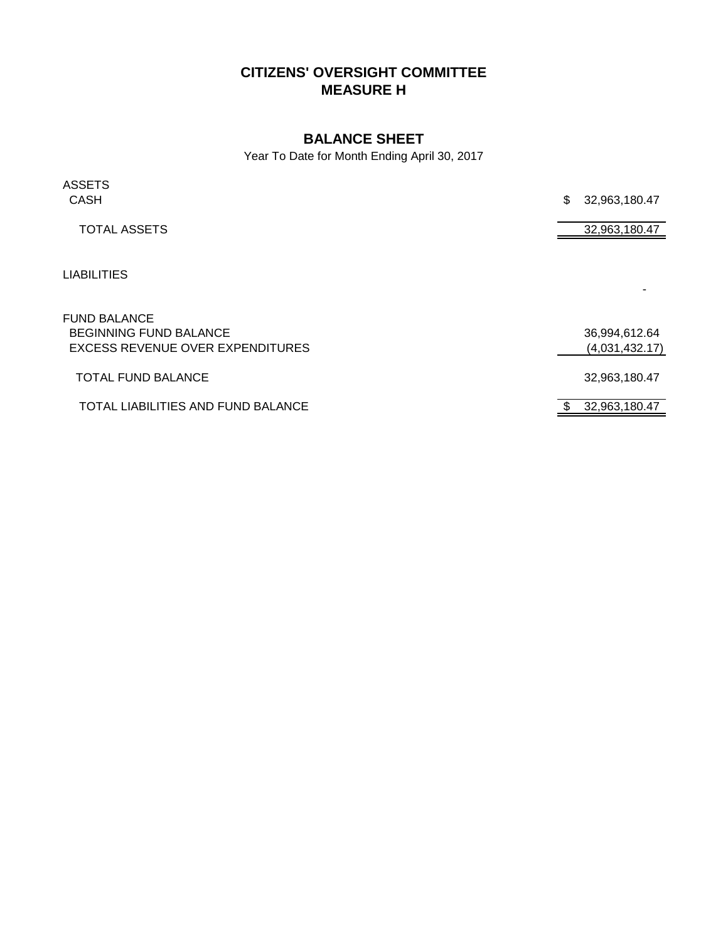# **CITIZENS' OVERSIGHT COMMITTEE MEASURE H**

### **BALANCE SHEET**

Year To Date for Month Ending April 30, 2017

| <b>ASSETS</b><br><b>CASH</b>       | \$<br>32,963,180.47 |
|------------------------------------|---------------------|
| <b>TOTAL ASSETS</b>                | 32,963,180.47       |
|                                    |                     |
| <b>LIABILITIES</b>                 |                     |
| <b>FUND BALANCE</b>                |                     |
| <b>BEGINNING FUND BALANCE</b>      | 36,994,612.64       |
| EXCESS REVENUE OVER EXPENDITURES   | (4,031,432.17)      |
| <b>TOTAL FUND BALANCE</b>          | 32,963,180.47       |
| TOTAL LIABILITIES AND FUND BALANCE | 32,963,180.47       |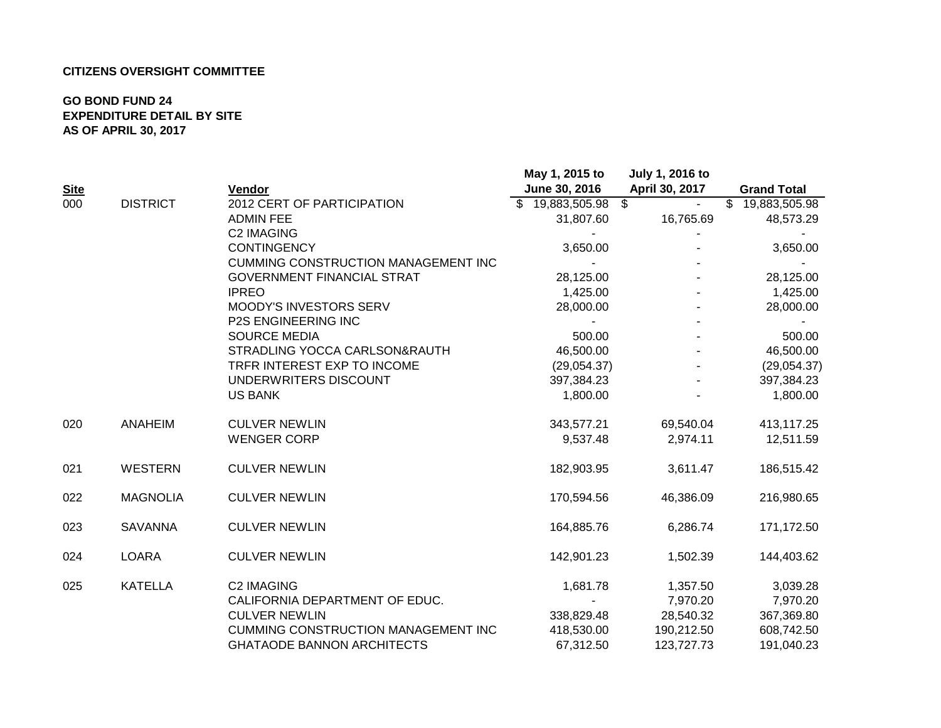### **CITIZENS OVERSIGHT COMMITTEE**

### **GO BOND FUND 24 EXPENDITURE DETAIL BY SITE AS OF APRIL 30, 2017**

|             |                 |                                            | May 1, 2015 to                  | July 1, 2016 to |                               |
|-------------|-----------------|--------------------------------------------|---------------------------------|-----------------|-------------------------------|
| <b>Site</b> |                 | Vendor                                     | June 30, 2016                   | April 30, 2017  | <b>Grand Total</b>            |
| 000         | <b>DISTRICT</b> | 2012 CERT OF PARTICIPATION                 | $$19,883,\overline{505.98}$ \\$ |                 | $\overline{\$}$ 19,883,505.98 |
|             |                 | <b>ADMIN FEE</b>                           | 31,807.60                       | 16,765.69       | 48,573.29                     |
|             |                 | <b>C2 IMAGING</b>                          |                                 |                 |                               |
|             |                 | <b>CONTINGENCY</b>                         | 3,650.00                        |                 | 3,650.00                      |
|             |                 | <b>CUMMING CONSTRUCTION MANAGEMENT INC</b> |                                 |                 |                               |
|             |                 | <b>GOVERNMENT FINANCIAL STRAT</b>          | 28,125.00                       |                 | 28,125.00                     |
|             |                 | <b>IPREO</b>                               | 1,425.00                        |                 | 1,425.00                      |
|             |                 | <b>MOODY'S INVESTORS SERV</b>              | 28,000.00                       |                 | 28,000.00                     |
|             |                 | <b>P2S ENGINEERING INC</b>                 |                                 |                 |                               |
|             |                 | <b>SOURCE MEDIA</b>                        | 500.00                          |                 | 500.00                        |
|             |                 | STRADLING YOCCA CARLSON&RAUTH              | 46,500.00                       |                 | 46,500.00                     |
|             |                 | TRFR INTEREST EXP TO INCOME                | (29,054.37)                     |                 | (29,054.37)                   |
|             |                 | UNDERWRITERS DISCOUNT                      | 397,384.23                      |                 | 397,384.23                    |
|             |                 | <b>US BANK</b>                             | 1,800.00                        |                 | 1,800.00                      |
| 020         | ANAHEIM         | <b>CULVER NEWLIN</b>                       | 343,577.21                      | 69,540.04       | 413,117.25                    |
|             |                 | <b>WENGER CORP</b>                         | 9,537.48                        | 2,974.11        | 12,511.59                     |
| 021         | WESTERN         | <b>CULVER NEWLIN</b>                       | 182,903.95                      | 3,611.47        | 186,515.42                    |
| 022         | <b>MAGNOLIA</b> | <b>CULVER NEWLIN</b>                       | 170,594.56                      | 46,386.09       | 216,980.65                    |
| 023         | <b>SAVANNA</b>  | <b>CULVER NEWLIN</b>                       | 164,885.76                      | 6,286.74        | 171,172.50                    |
| 024         | <b>LOARA</b>    | <b>CULVER NEWLIN</b>                       | 142,901.23                      | 1,502.39        | 144,403.62                    |
| 025         | <b>KATELLA</b>  | <b>C2 IMAGING</b>                          | 1,681.78                        | 1,357.50        | 3,039.28                      |
|             |                 | CALIFORNIA DEPARTMENT OF EDUC.             |                                 | 7,970.20        | 7,970.20                      |
|             |                 | <b>CULVER NEWLIN</b>                       | 338,829.48                      | 28,540.32       | 367,369.80                    |
|             |                 | <b>CUMMING CONSTRUCTION MANAGEMENT INC</b> | 418,530.00                      | 190,212.50      | 608,742.50                    |
|             |                 | <b>GHATAODE BANNON ARCHITECTS</b>          | 67,312.50                       | 123,727.73      | 191,040.23                    |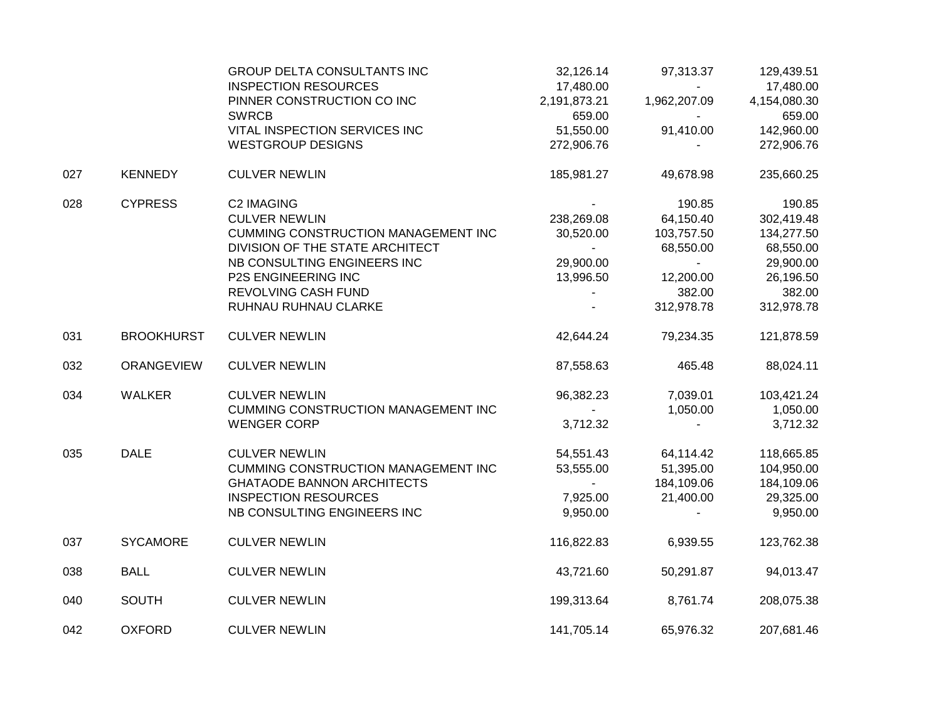|     |                   | GROUP DELTA CONSULTANTS INC<br><b>INSPECTION RESOURCES</b> | 32,126.14<br>17,480.00   | 97,313.37    | 129,439.51<br>17,480.00 |
|-----|-------------------|------------------------------------------------------------|--------------------------|--------------|-------------------------|
|     |                   | PINNER CONSTRUCTION CO INC                                 | 2,191,873.21             | 1,962,207.09 | 4,154,080.30            |
|     |                   | <b>SWRCB</b>                                               | 659.00                   | $\sim$       | 659.00                  |
|     |                   | VITAL INSPECTION SERVICES INC                              | 51,550.00                | 91,410.00    | 142,960.00              |
|     |                   | <b>WESTGROUP DESIGNS</b>                                   | 272,906.76               |              | 272,906.76              |
| 027 | <b>KENNEDY</b>    | <b>CULVER NEWLIN</b>                                       | 185,981.27               | 49,678.98    | 235,660.25              |
| 028 | <b>CYPRESS</b>    | <b>C2 IMAGING</b>                                          |                          | 190.85       | 190.85                  |
|     |                   | <b>CULVER NEWLIN</b>                                       | 238,269.08               | 64,150.40    | 302,419.48              |
|     |                   | CUMMING CONSTRUCTION MANAGEMENT INC                        | 30,520.00                | 103,757.50   | 134,277.50              |
|     |                   | DIVISION OF THE STATE ARCHITECT                            | $\sim$                   | 68,550.00    | 68,550.00               |
|     |                   | NB CONSULTING ENGINEERS INC                                | 29,900.00                | $\sim$ $-$   | 29,900.00               |
|     |                   | P2S ENGINEERING INC                                        | 13,996.50                | 12,200.00    | 26,196.50               |
|     |                   | <b>REVOLVING CASH FUND</b>                                 |                          | 382.00       | 382.00                  |
|     |                   | RUHNAU RUHNAU CLARKE                                       | $\overline{\phantom{a}}$ | 312,978.78   | 312,978.78              |
| 031 | <b>BROOKHURST</b> | <b>CULVER NEWLIN</b>                                       | 42,644.24                | 79,234.35    | 121,878.59              |
| 032 | <b>ORANGEVIEW</b> | <b>CULVER NEWLIN</b>                                       | 87,558.63                | 465.48       | 88,024.11               |
| 034 | <b>WALKER</b>     | <b>CULVER NEWLIN</b>                                       | 96,382.23                | 7,039.01     | 103,421.24              |
|     |                   | <b>CUMMING CONSTRUCTION MANAGEMENT INC</b>                 |                          | 1,050.00     | 1,050.00                |
|     |                   | <b>WENGER CORP</b>                                         | 3,712.32                 |              | 3,712.32                |
| 035 | <b>DALE</b>       | <b>CULVER NEWLIN</b>                                       | 54,551.43                | 64,114.42    | 118,665.85              |
|     |                   | CUMMING CONSTRUCTION MANAGEMENT INC                        | 53,555.00                | 51,395.00    | 104,950.00              |
|     |                   | <b>GHATAODE BANNON ARCHITECTS</b>                          | $\sim$                   | 184,109.06   | 184,109.06              |
|     |                   | <b>INSPECTION RESOURCES</b>                                | 7,925.00                 | 21,400.00    | 29,325.00               |
|     |                   | NB CONSULTING ENGINEERS INC                                | 9,950.00                 |              | 9,950.00                |
| 037 | <b>SYCAMORE</b>   | <b>CULVER NEWLIN</b>                                       | 116,822.83               | 6,939.55     | 123,762.38              |
| 038 | <b>BALL</b>       | <b>CULVER NEWLIN</b>                                       | 43,721.60                | 50,291.87    | 94,013.47               |
| 040 | <b>SOUTH</b>      | <b>CULVER NEWLIN</b>                                       | 199,313.64               | 8,761.74     | 208,075.38              |
| 042 | <b>OXFORD</b>     | <b>CULVER NEWLIN</b>                                       | 141,705.14               | 65,976.32    | 207,681.46              |